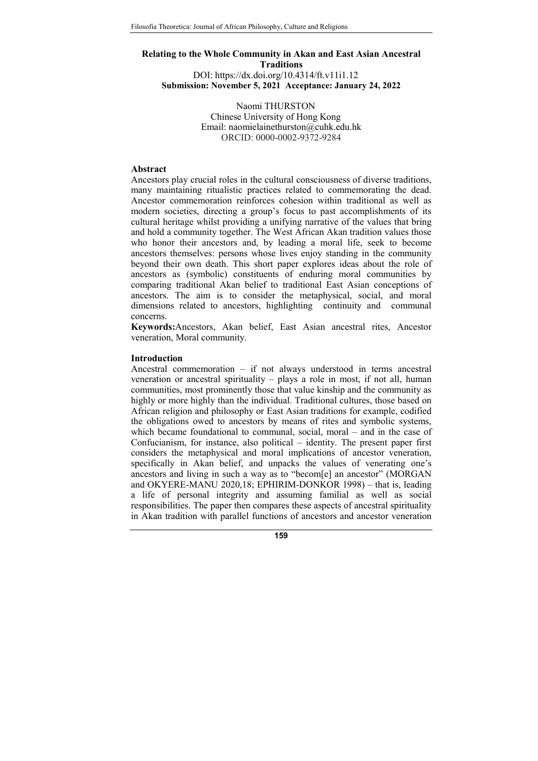# Relating to the Whole Community in Akan and East Asian Ancestral Traditions DOI: https://dx.doi.org/10.4314/ft.v11i1.12 Submission: November 5, 2021 Acceptance: January 24, 2022

Naomi THURSTON Chinese University of Hong Kong Email: naomielainethurston@cuhk.edu.hk ORCID: 0000-0002-9372-9284

### Abstract

Ancestors play crucial roles in the cultural consciousness of diverse traditions, many maintaining ritualistic practices related to commemorating the dead. Ancestor commemoration reinforces cohesion within traditional as well as modern societies, directing a group's focus to past accomplishments of its cultural heritage whilst providing a unifying narrative of the values that bring and hold a community together. The West African Akan tradition values those who honor their ancestors and, by leading a moral life, seek to become ancestors themselves: persons whose lives enjoy standing in the community beyond their own death. This short paper explores ideas about the role of ancestors as (symbolic) constituents of enduring moral communities by comparing traditional Akan belief to traditional East Asian conceptions of ancestors. The aim is to consider the metaphysical, social, and moral dimensions related to ancestors, highlighting continuity and communal concerns.

Keywords:Ancestors, Akan belief, East Asian ancestral rites, Ancestor veneration, Moral community.

## **Introduction**

Ancestral commemoration – if not always understood in terms ancestral veneration or ancestral spirituality – plays a role in most, if not all, human communities, most prominently those that value kinship and the community as highly or more highly than the individual. Traditional cultures, those based on African religion and philosophy or East Asian traditions for example, codified the obligations owed to ancestors by means of rites and symbolic systems, which became foundational to communal, social, moral – and in the case of Confucianism, for instance, also political – identity. The present paper first considers the metaphysical and moral implications of ancestor veneration, specifically in Akan belief, and unpacks the values of venerating one's ancestors and living in such a way as to "becom[e] an ancestor" (MORGAN and OKYERE-MANU 2020,18; EPHIRIM-DONKOR 1998) – that is, leading a life of personal integrity and assuming familial as well as social responsibilities. The paper then compares these aspects of ancestral spirituality in Akan tradition with parallel functions of ancestors and ancestor veneration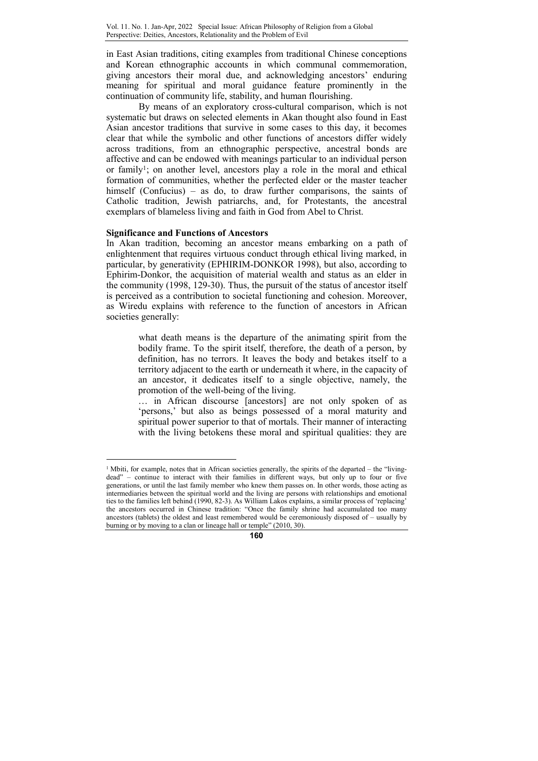in East Asian traditions, citing examples from traditional Chinese conceptions and Korean ethnographic accounts in which communal commemoration, giving ancestors their moral due, and acknowledging ancestors' enduring meaning for spiritual and moral guidance feature prominently in the continuation of community life, stability, and human flourishing.

By means of an exploratory cross-cultural comparison, which is not systematic but draws on selected elements in Akan thought also found in East Asian ancestor traditions that survive in some cases to this day, it becomes clear that while the symbolic and other functions of ancestors differ widely across traditions, from an ethnographic perspective, ancestral bonds are affective and can be endowed with meanings particular to an individual person or family<sup>1</sup>; on another level, ancestors play a role in the moral and ethical formation of communities, whether the perfected elder or the master teacher himself (Confucius) – as do, to draw further comparisons, the saints of Catholic tradition, Jewish patriarchs, and, for Protestants, the ancestral exemplars of blameless living and faith in God from Abel to Christ.

### Significance and Functions of Ancestors

 $\overline{a}$ 

In Akan tradition, becoming an ancestor means embarking on a path of enlightenment that requires virtuous conduct through ethical living marked, in particular, by generativity (EPHIRIM-DONKOR 1998), but also, according to Ephirim-Donkor, the acquisition of material wealth and status as an elder in the community (1998, 129-30). Thus, the pursuit of the status of ancestor itself is perceived as a contribution to societal functioning and cohesion. Moreover, as Wiredu explains with reference to the function of ancestors in African societies generally:

> what death means is the departure of the animating spirit from the bodily frame. To the spirit itself, therefore, the death of a person, by definition, has no terrors. It leaves the body and betakes itself to a territory adjacent to the earth or underneath it where, in the capacity of an ancestor, it dedicates itself to a single objective, namely, the promotion of the well-being of the living.

> … in African discourse [ancestors] are not only spoken of as 'persons,' but also as beings possessed of a moral maturity and spiritual power superior to that of mortals. Their manner of interacting with the living betokens these moral and spiritual qualities: they are

<sup>&</sup>lt;sup>1</sup> Mbiti, for example, notes that in African societies generally, the spirits of the departed – the "livingdead" – continue to interact with their families in different ways, but only up to four or five generations, or until the last family member who knew them passes on. In other words, those acting as intermediaries between the spiritual world and the living are persons with relationships and emotional ties to the families left behind (1990, 82-3). As William Lakos explains, a similar process of 'replacing' the ancestors occurred in Chinese tradition: "Once the family shrine had accumulated too many ancestors (tablets) the oldest and least remembered would be ceremoniously disposed of – usually by burning or by moving to a clan or lineage hall or temple" (2010, 30).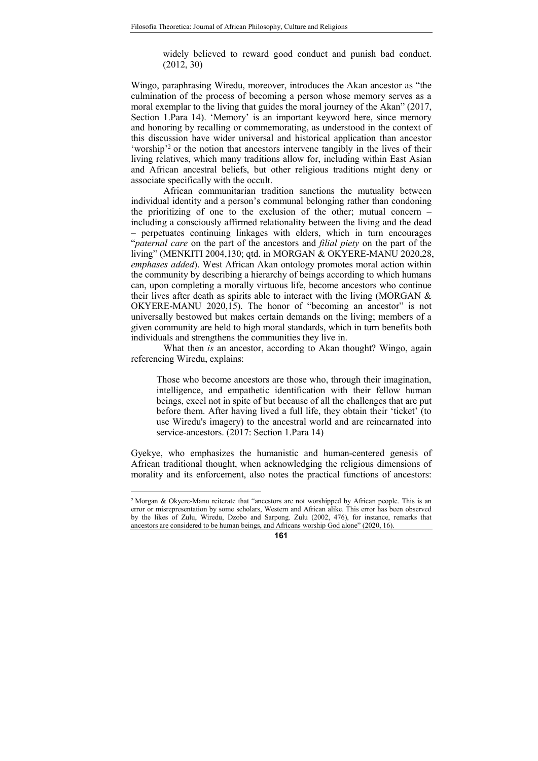widely believed to reward good conduct and punish bad conduct. (2012, 30)

Wingo, paraphrasing Wiredu, moreover, introduces the Akan ancestor as "the culmination of the process of becoming a person whose memory serves as a moral exemplar to the living that guides the moral journey of the Akan" (2017, Section 1.Para 14). 'Memory' is an important keyword here, since memory and honoring by recalling or commemorating, as understood in the context of this discussion have wider universal and historical application than ancestor 'worship'<sup>2</sup> or the notion that ancestors intervene tangibly in the lives of their living relatives, which many traditions allow for, including within East Asian and African ancestral beliefs, but other religious traditions might deny or associate specifically with the occult.

African communitarian tradition sanctions the mutuality between individual identity and a person's communal belonging rather than condoning the prioritizing of one to the exclusion of the other; mutual concern – including a consciously affirmed relationality between the living and the dead – perpetuates continuing linkages with elders, which in turn encourages "paternal care on the part of the ancestors and filial piety on the part of the living" (MENKITI 2004,130; qtd. in MORGAN & OKYERE-MANU 2020,28, emphases added). West African Akan ontology promotes moral action within the community by describing a hierarchy of beings according to which humans can, upon completing a morally virtuous life, become ancestors who continue their lives after death as spirits able to interact with the living (MORGAN & OKYERE-MANU 2020,15). The honor of "becoming an ancestor" is not universally bestowed but makes certain demands on the living; members of a given community are held to high moral standards, which in turn benefits both individuals and strengthens the communities they live in.

What then *is* an ancestor, according to Akan thought? Wingo, again referencing Wiredu, explains:

Those who become ancestors are those who, through their imagination, intelligence, and empathetic identification with their fellow human beings, excel not in spite of but because of all the challenges that are put before them. After having lived a full life, they obtain their 'ticket' (to use Wiredu's imagery) to the ancestral world and are reincarnated into service-ancestors. (2017: Section 1.Para 14)

Gyekye, who emphasizes the humanistic and human-centered genesis of African traditional thought, when acknowledging the religious dimensions of morality and its enforcement, also notes the practical functions of ancestors:

 2 Morgan & Okyere-Manu reiterate that "ancestors are not worshipped by African people. This is an error or misrepresentation by some scholars, Western and African alike. This error has been observed by the likes of Zulu, Wiredu, Dzobo and Sarpong. Zulu (2002, 476), for instance, remarks that ancestors are considered to be human beings, and Africans worship God alone" (2020, 16).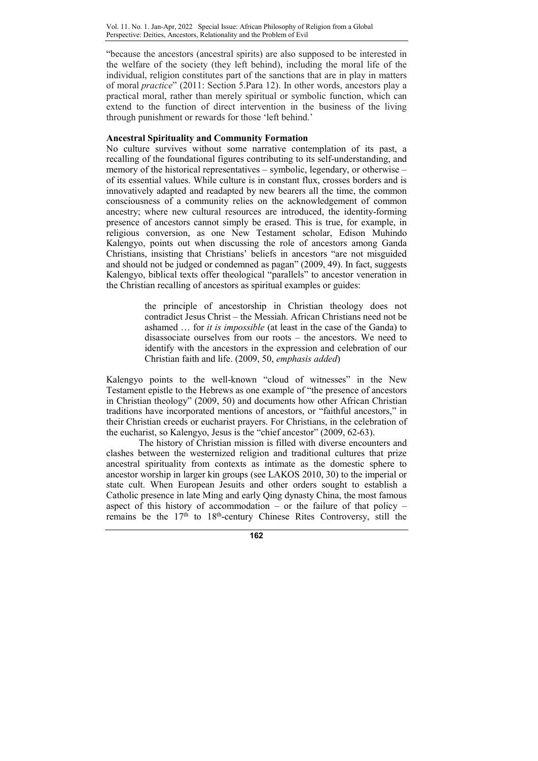"because the ancestors (ancestral spirits) are also supposed to be interested in the welfare of the society (they left behind), including the moral life of the individual, religion constitutes part of the sanctions that are in play in matters of moral practice" (2011: Section 5.Para 12). In other words, ancestors play a practical moral, rather than merely spiritual or symbolic function, which can extend to the function of direct intervention in the business of the living through punishment or rewards for those 'left behind.'

# Ancestral Spirituality and Community Formation

No culture survives without some narrative contemplation of its past, a recalling of the foundational figures contributing to its self-understanding, and memory of the historical representatives – symbolic, legendary, or otherwise – of its essential values. While culture is in constant flux, crosses borders and is innovatively adapted and readapted by new bearers all the time, the common consciousness of a community relies on the acknowledgement of common ancestry; where new cultural resources are introduced, the identity-forming presence of ancestors cannot simply be erased. This is true, for example, in religious conversion, as one New Testament scholar, Edison Muhindo Kalengyo, points out when discussing the role of ancestors among Ganda Christians, insisting that Christians' beliefs in ancestors "are not misguided and should not be judged or condemned as pagan" (2009, 49). In fact, suggests Kalengyo, biblical texts offer theological "parallels" to ancestor veneration in the Christian recalling of ancestors as spiritual examples or guides:

> the principle of ancestorship in Christian theology does not contradict Jesus Christ – the Messiah. African Christians need not be ashamed … for it is impossible (at least in the case of the Ganda) to disassociate ourselves from our roots – the ancestors. We need to identify with the ancestors in the expression and celebration of our Christian faith and life. (2009, 50, emphasis added)

Kalengyo points to the well-known "cloud of witnesses" in the New Testament epistle to the Hebrews as one example of "the presence of ancestors in Christian theology" (2009, 50) and documents how other African Christian traditions have incorporated mentions of ancestors, or "faithful ancestors," in their Christian creeds or eucharist prayers. For Christians, in the celebration of the eucharist, so Kalengyo, Jesus is the "chief ancestor" (2009, 62-63).

The history of Christian mission is filled with diverse encounters and clashes between the westernized religion and traditional cultures that prize ancestral spirituality from contexts as intimate as the domestic sphere to ancestor worship in larger kin groups (see LAKOS 2010, 30) to the imperial or state cult. When European Jesuits and other orders sought to establish a Catholic presence in late Ming and early Qing dynasty China, the most famous aspect of this history of accommodation – or the failure of that policy – remains be the 17th to 18th-century Chinese Rites Controversy, still the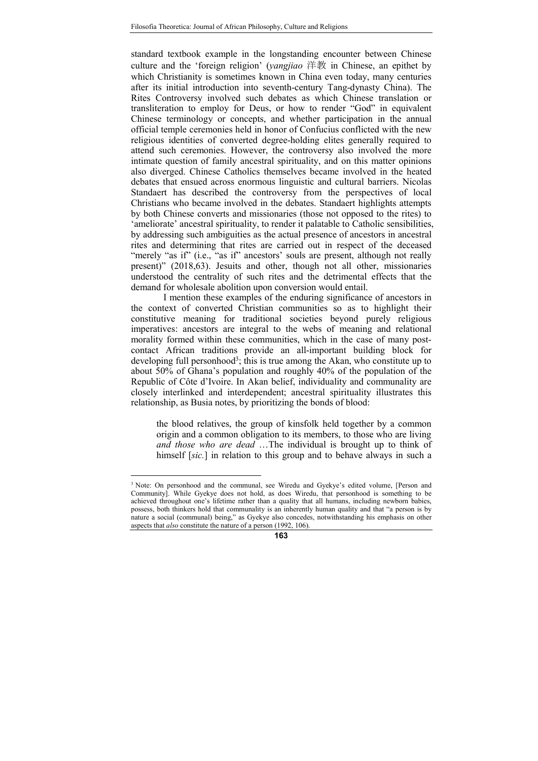standard textbook example in the longstanding encounter between Chinese culture and the 'foreign religion' (yangjiao 洋教 in Chinese, an epithet by which Christianity is sometimes known in China even today, many centuries after its initial introduction into seventh-century Tang-dynasty China). The Rites Controversy involved such debates as which Chinese translation or transliteration to employ for Deus, or how to render "God" in equivalent Chinese terminology or concepts, and whether participation in the annual official temple ceremonies held in honor of Confucius conflicted with the new religious identities of converted degree-holding elites generally required to attend such ceremonies. However, the controversy also involved the more intimate question of family ancestral spirituality, and on this matter opinions also diverged. Chinese Catholics themselves became involved in the heated debates that ensued across enormous linguistic and cultural barriers. Nicolas Standaert has described the controversy from the perspectives of local Christians who became involved in the debates. Standaert highlights attempts by both Chinese converts and missionaries (those not opposed to the rites) to 'ameliorate' ancestral spirituality, to render it palatable to Catholic sensibilities, by addressing such ambiguities as the actual presence of ancestors in ancestral rites and determining that rites are carried out in respect of the deceased "merely "as if" (i.e., "as if" ancestors' souls are present, although not really present)" (2018,63). Jesuits and other, though not all other, missionaries understood the centrality of such rites and the detrimental effects that the demand for wholesale abolition upon conversion would entail.

I mention these examples of the enduring significance of ancestors in the context of converted Christian communities so as to highlight their constitutive meaning for traditional societies beyond purely religious imperatives: ancestors are integral to the webs of meaning and relational morality formed within these communities, which in the case of many postcontact African traditions provide an all-important building block for developing full personhood<sup>3</sup>; this is true among the Akan, who constitute up to about 50% of Ghana's population and roughly 40% of the population of the Republic of Côte d'Ivoire. In Akan belief, individuality and communality are closely interlinked and interdependent; ancestral spirituality illustrates this relationship, as Busia notes, by prioritizing the bonds of blood:

the blood relatives, the group of kinsfolk held together by a common origin and a common obligation to its members, to those who are living and those who are dead …The individual is brought up to think of himself [sic.] in relation to this group and to behave always in such a

 $\overline{a}$ 

<sup>&</sup>lt;sup>3</sup> Note: On personhood and the communal, see Wiredu and Gyekye's edited volume, [Person and Community]. While Gyekye does not hold, as does Wiredu, that personhood is something to be achieved throughout one's lifetime rather than a quality that all humans, including newborn babies, possess, both thinkers hold that communality is an inherently human quality and that "a person is by nature a social (communal) being," as Gyekye also concedes, notwithstanding his emphasis on other aspects that also constitute the nature of a person (1992, 106).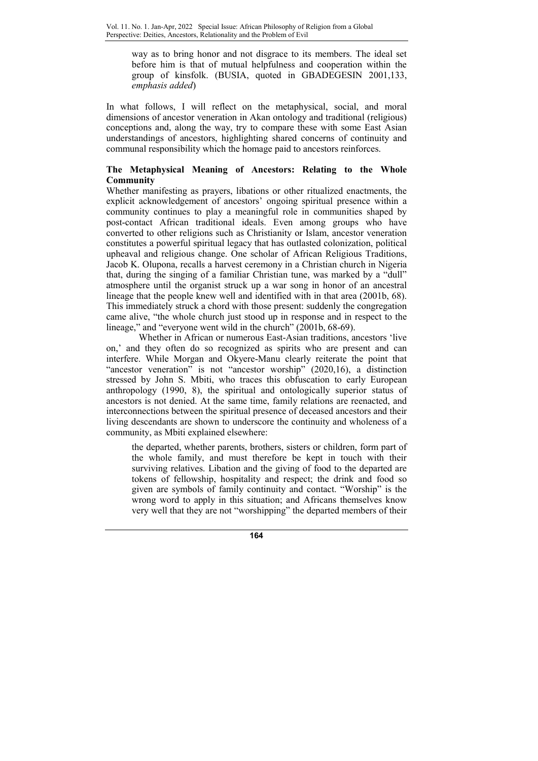way as to bring honor and not disgrace to its members. The ideal set before him is that of mutual helpfulness and cooperation within the group of kinsfolk. (BUSIA, quoted in GBADEGESIN 2001,133, emphasis added)

In what follows, I will reflect on the metaphysical, social, and moral dimensions of ancestor veneration in Akan ontology and traditional (religious) conceptions and, along the way, try to compare these with some East Asian understandings of ancestors, highlighting shared concerns of continuity and communal responsibility which the homage paid to ancestors reinforces.

# The Metaphysical Meaning of Ancestors: Relating to the Whole Community

Whether manifesting as prayers, libations or other ritualized enactments, the explicit acknowledgement of ancestors' ongoing spiritual presence within a community continues to play a meaningful role in communities shaped by post-contact African traditional ideals. Even among groups who have converted to other religions such as Christianity or Islam, ancestor veneration constitutes a powerful spiritual legacy that has outlasted colonization, political upheaval and religious change. One scholar of African Religious Traditions, Jacob K. Olupona, recalls a harvest ceremony in a Christian church in Nigeria that, during the singing of a familiar Christian tune, was marked by a "dull" atmosphere until the organist struck up a war song in honor of an ancestral lineage that the people knew well and identified with in that area (2001b, 68). This immediately struck a chord with those present: suddenly the congregation came alive, "the whole church just stood up in response and in respect to the lineage," and "everyone went wild in the church" (2001b, 68-69).

Whether in African or numerous East-Asian traditions, ancestors 'live on,' and they often do so recognized as spirits who are present and can interfere. While Morgan and Okyere-Manu clearly reiterate the point that "ancestor veneration" is not "ancestor worship" (2020,16), a distinction stressed by John S. Mbiti, who traces this obfuscation to early European anthropology (1990, 8), the spiritual and ontologically superior status of ancestors is not denied. At the same time, family relations are reenacted, and interconnections between the spiritual presence of deceased ancestors and their living descendants are shown to underscore the continuity and wholeness of a community, as Mbiti explained elsewhere:

the departed, whether parents, brothers, sisters or children, form part of the whole family, and must therefore be kept in touch with their surviving relatives. Libation and the giving of food to the departed are tokens of fellowship, hospitality and respect; the drink and food so given are symbols of family continuity and contact. "Worship" is the wrong word to apply in this situation; and Africans themselves know very well that they are not "worshipping" the departed members of their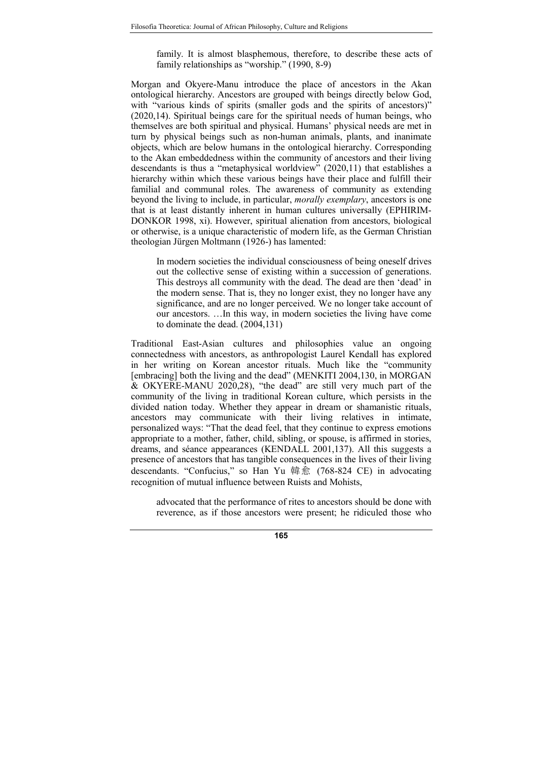family. It is almost blasphemous, therefore, to describe these acts of family relationships as "worship." (1990, 8-9)

Morgan and Okyere-Manu introduce the place of ancestors in the Akan ontological hierarchy. Ancestors are grouped with beings directly below God, with "various kinds of spirits (smaller gods and the spirits of ancestors)" (2020,14). Spiritual beings care for the spiritual needs of human beings, who themselves are both spiritual and physical. Humans' physical needs are met in turn by physical beings such as non-human animals, plants, and inanimate objects, which are below humans in the ontological hierarchy. Corresponding to the Akan embeddedness within the community of ancestors and their living descendants is thus a "metaphysical worldview" (2020,11) that establishes a hierarchy within which these various beings have their place and fulfill their familial and communal roles. The awareness of community as extending beyond the living to include, in particular, morally exemplary, ancestors is one that is at least distantly inherent in human cultures universally (EPHIRIM-DONKOR 1998, xi). However, spiritual alienation from ancestors, biological or otherwise, is a unique characteristic of modern life, as the German Christian theologian Jürgen Moltmann (1926-) has lamented:

In modern societies the individual consciousness of being oneself drives out the collective sense of existing within a succession of generations. This destroys all community with the dead. The dead are then 'dead' in the modern sense. That is, they no longer exist, they no longer have any significance, and are no longer perceived. We no longer take account of our ancestors. …In this way, in modern societies the living have come to dominate the dead. (2004,131)

Traditional East-Asian cultures and philosophies value an ongoing connectedness with ancestors, as anthropologist Laurel Kendall has explored in her writing on Korean ancestor rituals. Much like the "community [embracing] both the living and the dead" (MENKITI 2004,130, in MORGAN & OKYERE-MANU 2020,28), "the dead" are still very much part of the community of the living in traditional Korean culture, which persists in the divided nation today. Whether they appear in dream or shamanistic rituals, ancestors may communicate with their living relatives in intimate, personalized ways: "That the dead feel, that they continue to express emotions appropriate to a mother, father, child, sibling, or spouse, is affirmed in stories, dreams, and séance appearances (KENDALL 2001,137). All this suggests a presence of ancestors that has tangible consequences in the lives of their living descendants. "Confucius," so Han Yu 韓愈 (768-824 CE) in advocating recognition of mutual influence between Ruists and Mohists,

advocated that the performance of rites to ancestors should be done with reverence, as if those ancestors were present; he ridiculed those who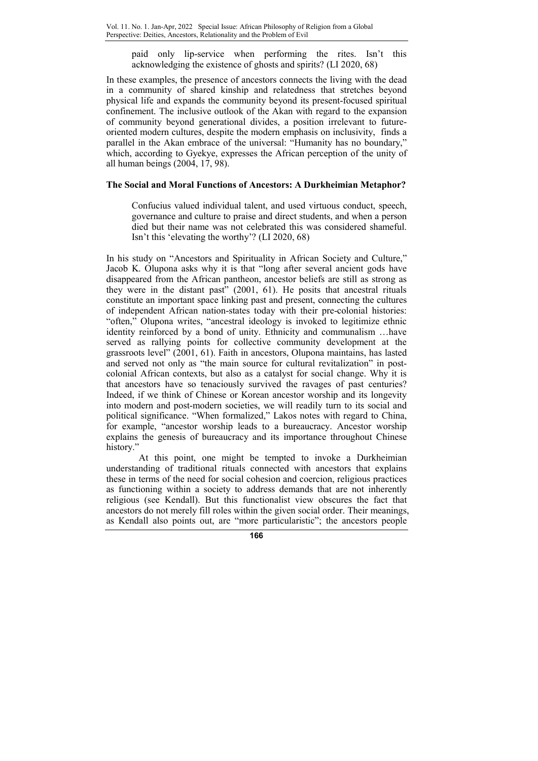paid only lip-service when performing the rites. Isn't this acknowledging the existence of ghosts and spirits? (LI 2020, 68)

In these examples, the presence of ancestors connects the living with the dead in a community of shared kinship and relatedness that stretches beyond physical life and expands the community beyond its present-focused spiritual confinement. The inclusive outlook of the Akan with regard to the expansion of community beyond generational divides, a position irrelevant to futureoriented modern cultures, despite the modern emphasis on inclusivity, finds a parallel in the Akan embrace of the universal: "Humanity has no boundary," which, according to Gyekye, expresses the African perception of the unity of all human beings (2004, 17, 98).

# The Social and Moral Functions of Ancestors: A Durkheimian Metaphor?

Confucius valued individual talent, and used virtuous conduct, speech, governance and culture to praise and direct students, and when a person died but their name was not celebrated this was considered shameful. Isn't this 'elevating the worthy'? (LI 2020, 68)

In his study on "Ancestors and Spirituality in African Society and Culture," Jacob K. Olupona asks why it is that "long after several ancient gods have disappeared from the African pantheon, ancestor beliefs are still as strong as they were in the distant past" (2001, 61). He posits that ancestral rituals constitute an important space linking past and present, connecting the cultures of independent African nation-states today with their pre-colonial histories: "often," Olupona writes, "ancestral ideology is invoked to legitimize ethnic identity reinforced by a bond of unity. Ethnicity and communalism …have served as rallying points for collective community development at the grassroots level" (2001, 61). Faith in ancestors, Olupona maintains, has lasted and served not only as "the main source for cultural revitalization" in postcolonial African contexts, but also as a catalyst for social change. Why it is that ancestors have so tenaciously survived the ravages of past centuries? Indeed, if we think of Chinese or Korean ancestor worship and its longevity into modern and post-modern societies, we will readily turn to its social and political significance. "When formalized," Lakos notes with regard to China, for example, "ancestor worship leads to a bureaucracy. Ancestor worship explains the genesis of bureaucracy and its importance throughout Chinese history."

At this point, one might be tempted to invoke a Durkheimian understanding of traditional rituals connected with ancestors that explains these in terms of the need for social cohesion and coercion, religious practices as functioning within a society to address demands that are not inherently religious (see Kendall). But this functionalist view obscures the fact that ancestors do not merely fill roles within the given social order. Their meanings, as Kendall also points out, are "more particularistic"; the ancestors people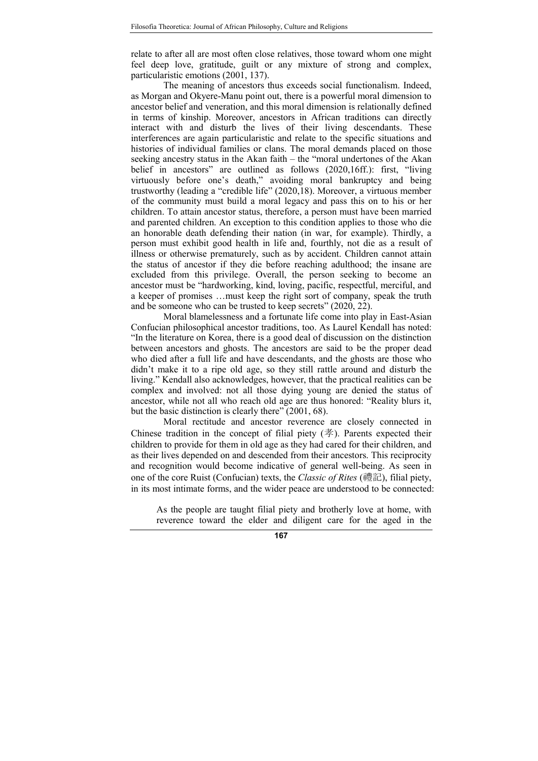relate to after all are most often close relatives, those toward whom one might feel deep love, gratitude, guilt or any mixture of strong and complex, particularistic emotions (2001, 137).

The meaning of ancestors thus exceeds social functionalism. Indeed, as Morgan and Okyere-Manu point out, there is a powerful moral dimension to ancestor belief and veneration, and this moral dimension is relationally defined in terms of kinship. Moreover, ancestors in African traditions can directly interact with and disturb the lives of their living descendants. These interferences are again particularistic and relate to the specific situations and histories of individual families or clans. The moral demands placed on those seeking ancestry status in the Akan faith – the "moral undertones of the Akan belief in ancestors" are outlined as follows (2020,16ff.): first, "living virtuously before one's death," avoiding moral bankruptcy and being trustworthy (leading a "credible life" (2020,18). Moreover, a virtuous member of the community must build a moral legacy and pass this on to his or her children. To attain ancestor status, therefore, a person must have been married and parented children. An exception to this condition applies to those who die an honorable death defending their nation (in war, for example). Thirdly, a person must exhibit good health in life and, fourthly, not die as a result of illness or otherwise prematurely, such as by accident. Children cannot attain the status of ancestor if they die before reaching adulthood; the insane are excluded from this privilege. Overall, the person seeking to become an ancestor must be "hardworking, kind, loving, pacific, respectful, merciful, and a keeper of promises …must keep the right sort of company, speak the truth and be someone who can be trusted to keep secrets" (2020, 22).

Moral blamelessness and a fortunate life come into play in East-Asian Confucian philosophical ancestor traditions, too. As Laurel Kendall has noted: "In the literature on Korea, there is a good deal of discussion on the distinction between ancestors and ghosts. The ancestors are said to be the proper dead who died after a full life and have descendants, and the ghosts are those who didn't make it to a ripe old age, so they still rattle around and disturb the living." Kendall also acknowledges, however, that the practical realities can be complex and involved: not all those dying young are denied the status of ancestor, while not all who reach old age are thus honored: "Reality blurs it, but the basic distinction is clearly there" (2001, 68).

Moral rectitude and ancestor reverence are closely connected in Chinese tradition in the concept of filial piety  $(\frac{1}{2})$ . Parents expected their children to provide for them in old age as they had cared for their children, and as their lives depended on and descended from their ancestors. This reciprocity and recognition would become indicative of general well-being. As seen in one of the core Ruist (Confucian) texts, the *Classic of Rites* (禮記), filial piety, in its most intimate forms, and the wider peace are understood to be connected:

As the people are taught filial piety and brotherly love at home, with reverence toward the elder and diligent care for the aged in the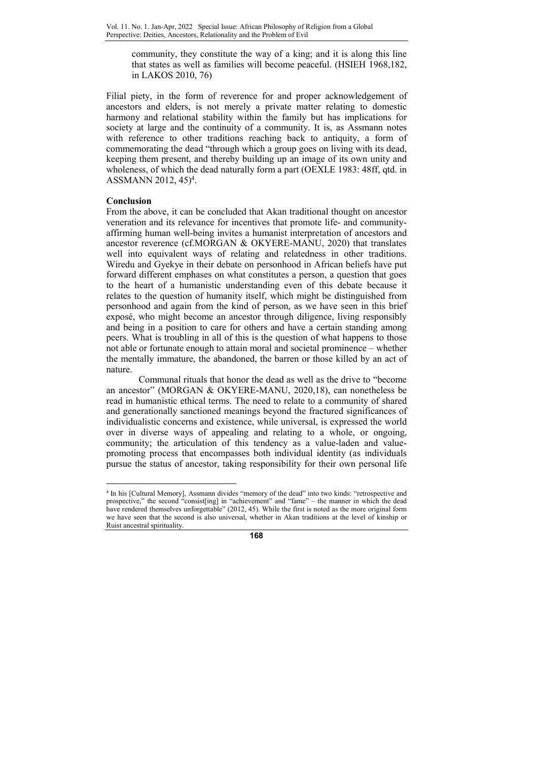community, they constitute the way of a king; and it is along this line that states as well as families will become peaceful. (HSIEH 1968,182, in LAKOS 2010, 76)

Filial piety, in the form of reverence for and proper acknowledgement of ancestors and elders, is not merely a private matter relating to domestic harmony and relational stability within the family but has implications for society at large and the continuity of a community. It is, as Assmann notes with reference to other traditions reaching back to antiquity, a form of commemorating the dead "through which a group goes on living with its dead, keeping them present, and thereby building up an image of its own unity and wholeness, of which the dead naturally form a part (OEXLE 1983: 48ff, qtd. in ASSMANN 2012, 45)<sup>4</sup> .

# Conclusion

From the above, it can be concluded that Akan traditional thought on ancestor veneration and its relevance for incentives that promote life- and communityaffirming human well-being invites a humanist interpretation of ancestors and ancestor reverence (cf.MORGAN & OKYERE-MANU, 2020) that translates well into equivalent ways of relating and relatedness in other traditions. Wiredu and Gyekye in their debate on personhood in African beliefs have put forward different emphases on what constitutes a person, a question that goes to the heart of a humanistic understanding even of this debate because it relates to the question of humanity itself, which might be distinguished from personhood and again from the kind of person, as we have seen in this brief exposé, who might become an ancestor through diligence, living responsibly and being in a position to care for others and have a certain standing among peers. What is troubling in all of this is the question of what happens to those not able or fortunate enough to attain moral and societal prominence – whether the mentally immature, the abandoned, the barren or those killed by an act of nature.

Communal rituals that honor the dead as well as the drive to "become an ancestor" (MORGAN & OKYERE-MANU, 2020,18), can nonetheless be read in humanistic ethical terms. The need to relate to a community of shared and generationally sanctioned meanings beyond the fractured significances of individualistic concerns and existence, while universal, is expressed the world over in diverse ways of appealing and relating to a whole, or ongoing, community; the articulation of this tendency as a value-laden and valuepromoting process that encompasses both individual identity (as individuals pursue the status of ancestor, taking responsibility for their own personal life

 4 In his [Cultural Memory], Assmann divides "memory of the dead" into two kinds: "retrospective and prospective," the second "consist[ing] in "achievement" and "fame" – the manner in which the dead have rendered themselves unforgettable" (2012, 45). While the first is noted as the more original form we have seen that the second is also universal, whether in Akan traditions at the level of kinship or Ruist ancestral spirituality.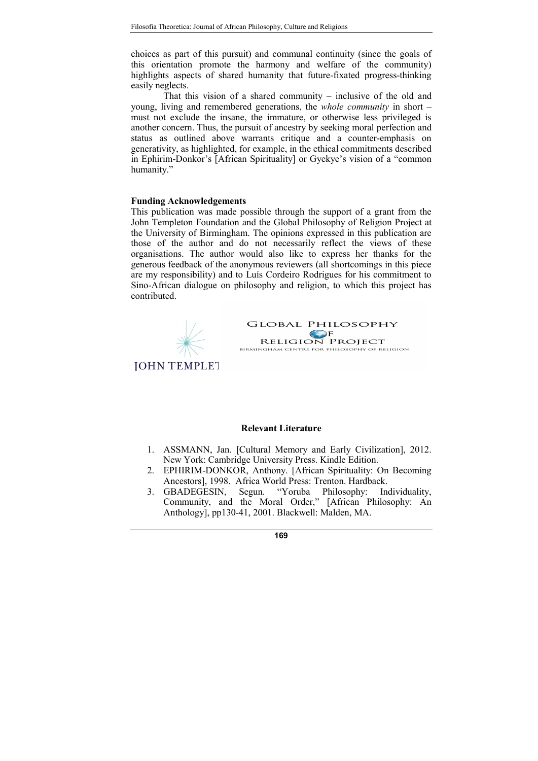choices as part of this pursuit) and communal continuity (since the goals of this orientation promote the harmony and welfare of the community) highlights aspects of shared humanity that future-fixated progress-thinking easily neglects.

That this vision of a shared community – inclusive of the old and young, living and remembered generations, the whole community in short – must not exclude the insane, the immature, or otherwise less privileged is another concern. Thus, the pursuit of ancestry by seeking moral perfection and status as outlined above warrants critique and a counter-emphasis on generativity, as highlighted, for example, in the ethical commitments described in Ephirim-Donkor's [African Spirituality] or Gyekye's vision of a "common humanity."

## Funding Acknowledgements

This publication was made possible through the support of a grant from the John Templeton Foundation and the Global Philosophy of Religion Project at the University of Birmingham. The opinions expressed in this publication are those of the author and do not necessarily reflect the views of these organisations. The author would also like to express her thanks for the generous feedback of the anonymous reviewers (all shortcomings in this piece are my responsibility) and to Luís Cordeiro Rodrigues for his commitment to Sino-African dialogue on philosophy and religion, to which this project has contributed.



#### Relevant Literature

- 1. ASSMANN, Jan. [Cultural Memory and Early Civilization], 2012. New York: Cambridge University Press. Kindle Edition.
- 2. EPHIRIM-DONKOR, Anthony. [African Spirituality: On Becoming Ancestors], 1998. Africa World Press: Trenton. Hardback.
- 3. GBADEGESIN, Segun. "Yoruba Philosophy: Individuality, Community, and the Moral Order," [African Philosophy: An Anthology], pp130-41, 2001. Blackwell: Malden, MA.

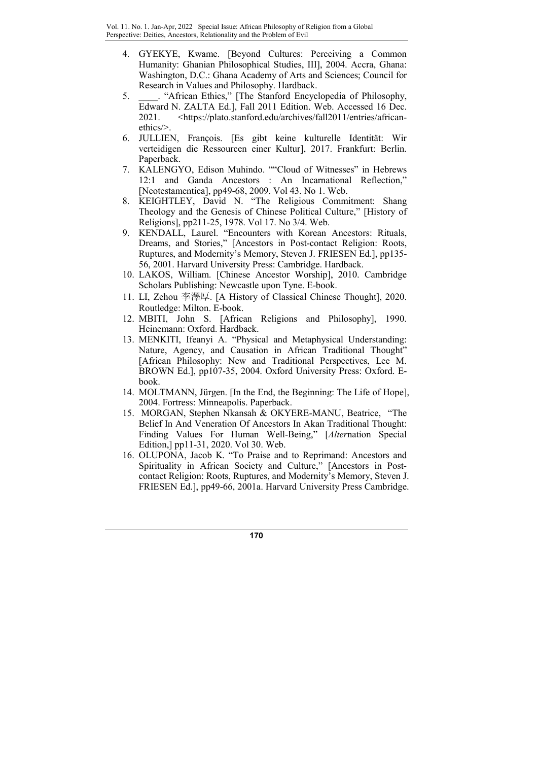- 4. GYEKYE, Kwame. [Beyond Cultures: Perceiving a Common Humanity: Ghanian Philosophical Studies, III], 2004. Accra, Ghana: Washington, D.C.: Ghana Academy of Arts and Sciences; Council for Research in Values and Philosophy. Hardback.
- 5. \_\_\_\_. "African Ethics," [The Stanford Encyclopedia of Philosophy, Edward N. ZALTA Ed.], Fall 2011 Edition. Web. Accessed 16 Dec. 2021. <https://plato.stanford.edu/archives/fall2011/entries/africanethics/>.
- 6. JULLIEN, François. [Es gibt keine kulturelle Identität: Wir verteidigen die Ressourcen einer Kultur], 2017. Frankfurt: Berlin. Paperback.
- 7. KALENGYO, Edison Muhindo. ""Cloud of Witnesses" in Hebrews 12:1 and Ganda Ancestors : An Incarnational Reflection," [Neotestamentica], pp49-68, 2009. Vol 43. No 1. Web.
- 8. KEIGHTLEY, David N. "The Religious Commitment: Shang Theology and the Genesis of Chinese Political Culture," [History of Religions], pp211-25, 1978. Vol 17. No 3/4. Web.
- 9. KENDALL, Laurel. "Encounters with Korean Ancestors: Rituals, Dreams, and Stories," [Ancestors in Post-contact Religion: Roots, Ruptures, and Modernity's Memory, Steven J. FRIESEN Ed.], pp135- 56, 2001. Harvard University Press: Cambridge. Hardback.
- 10. LAKOS, William. [Chinese Ancestor Worship], 2010. Cambridge Scholars Publishing: Newcastle upon Tyne. E-book.
- 11. LI, Zehou 李澤厚. [A History of Classical Chinese Thought], 2020. Routledge: Milton. E-book.
- 12. MBITI, John S. [African Religions and Philosophy], 1990. Heinemann: Oxford. Hardback.
- 13. MENKITI, Ifeanyi A. "Physical and Metaphysical Understanding: Nature, Agency, and Causation in African Traditional Thought" [African Philosophy: New and Traditional Perspectives, Lee M. BROWN Ed.], pp107-35, 2004. Oxford University Press: Oxford. Ebook.
- 14. MOLTMANN, Jürgen. [In the End, the Beginning: The Life of Hope], 2004. Fortress: Minneapolis. Paperback.
- 15. MORGAN, Stephen Nkansah & OKYERE-MANU, Beatrice, "The Belief In And Veneration Of Ancestors In Akan Traditional Thought: Finding Values For Human Well-Being," [Alternation Special Edition,] pp11-31, 2020. Vol 30. Web.
- 16. OLUPONA, Jacob K. "To Praise and to Reprimand: Ancestors and Spirituality in African Society and Culture," [Ancestors in Postcontact Religion: Roots, Ruptures, and Modernity's Memory, Steven J. FRIESEN Ed.], pp49-66, 2001a. Harvard University Press Cambridge.